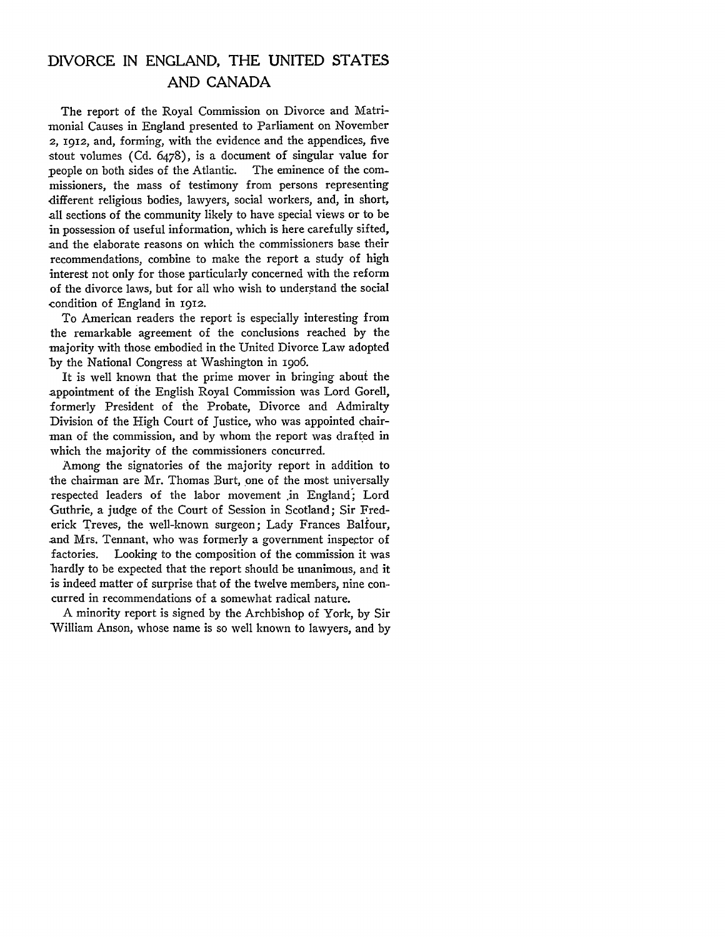## DIVORCE IN ENGLAND, THE UNITED STATES AND CANADA

The report of the Royal Commission on Divorce and Matrimonial Causes in England presented to Parliament on November 2, **1912,** and, forming, with the evidence and the appendices, five stout volumes (Cd. 6478), is a document of singular value for people on both sides of the Atlantic. The eminence of the commissioners, the mass of testimony from persons representing different religious bodies, lawyers, social workers, and, in short, all sections of the community likely to have special views or to be in possession of useful information, which is here carefully sifted, and the elaborate reasons on which the commissioners base their recommendations, combine to make the report a study of high interest not only for those particularly concerned with the reform of the divorce laws, but for all who wish to understand the social condition of England in 1912.

To American readers the report is especially interesting from the remarkable agreement of the conclusions reached **by** the majority with those embodied in the United Divorce Law adopted **by** the National Congress at Washington in 19o6.

It is well known that the prime mover in bringing about the appointment of the English Royal Commission was Lord Gorell, formerly President of the Probate, Divorce and Admiralty Division of the High Court of Justice, who was appointed chairman of the commission, and by whom the report was drafted in which the majority of the commissioners concurred.

Among the signatories of the majority report in addition to the chairman are Mr. Thomas Burt, one of the most universally respected leaders of the labor movement in England; Lord Guthrie, a judge of the Court of Session in Scotland; Sir Frederick Treves, the well-known surgeon; Lady Frances Balfour, and Mrs. Tennant, who was formerly a government inspector of factories. Looking to the composition of the commission it was hardly to be expected that the report should be unanimous, and it is indeed matter of surprise that of the twelve members, nine concurred in recommendations of a somewhat radical nature.

A minority report is signed by the Archbishop of York, by Sir William Anson, whose name is so well known to lawyers, and by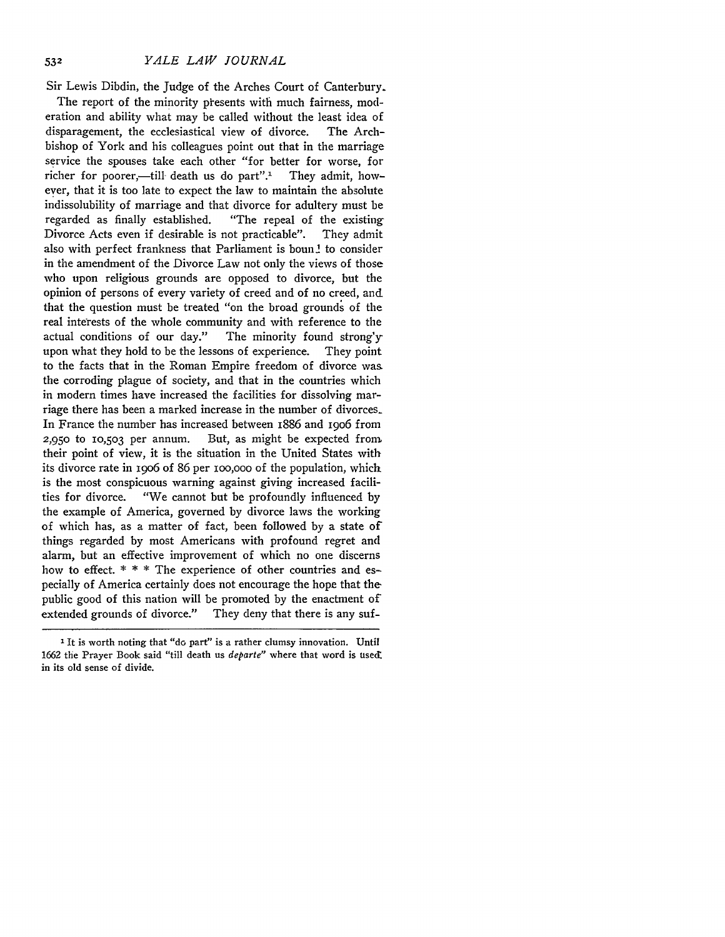Sir Lewis Dibdin, the Judge of the Arches Court of Canterbury.

The report of the minority presents with much fairness, moderation and ability what may be called without the least idea of disparagement, the ecclesiastical view of divorce. The Archbishop of York and his colleagues point out that in the marriage service the spouses take each other "for better for worse, for richer for poorer,—till death us do part".<sup>1</sup> They admit, however, that it is too late to expect the law to maintain the absolute indissolubility of marriage and that divorce for adultery must be regarded as finally established. "The repeal of the existing regarded as finally established. Divorce Acts even if desirable is not practicable". They admit also with perfect frankness that Parliament is boun! to consider in the amendment of the Divorce Law not only the views of those who upon religious grounds are opposed to divorce, but the opinion of persons of every variety of creed and of no creed, and that the question must be treated "on the broad grounds of the real interests of the whole community and with reference to the actual conditions of our day." The minority found strong'y upon what they hold to be the lessons of experience. They point to the facts that in the Roman Empire freedom of divorce was the corroding plague of society, and that in the countries which in modern times have increased the facilities for dissolving marriage there has been a marked increase in the number of divorces. In France the number has increased between I886 and 19o6 from *2,950* to **10,503** per annum. But, as might be expected fron their point of view, it is the situation in the United States with its divorce rate in i9o6 of 86 per ioo,ooo of the population, which is the most conspicuous warning against giving increased facilities for divorce. "We cannot but be profoundly influenced by the example of America, governed by divorce laws the working of which has, as a matter of fact, been followed by a state of things regarded by most Americans with profound regret and alarm, but an effective improvement of which no one discerns how to effect. **\* \* \*** The experience of other countries and es- pecially of America certainly does not encourage the hope that thepublic good of this nation will be promoted by the enactment of extended grounds of divorce." They deny that there is any suf-

**<sup>1</sup>** It is worth noting that "do part" is a rather clumsy innovation. Until 1662 the Prayer Book said "till death us *departe"* where that word is usedt in its old sense of divide.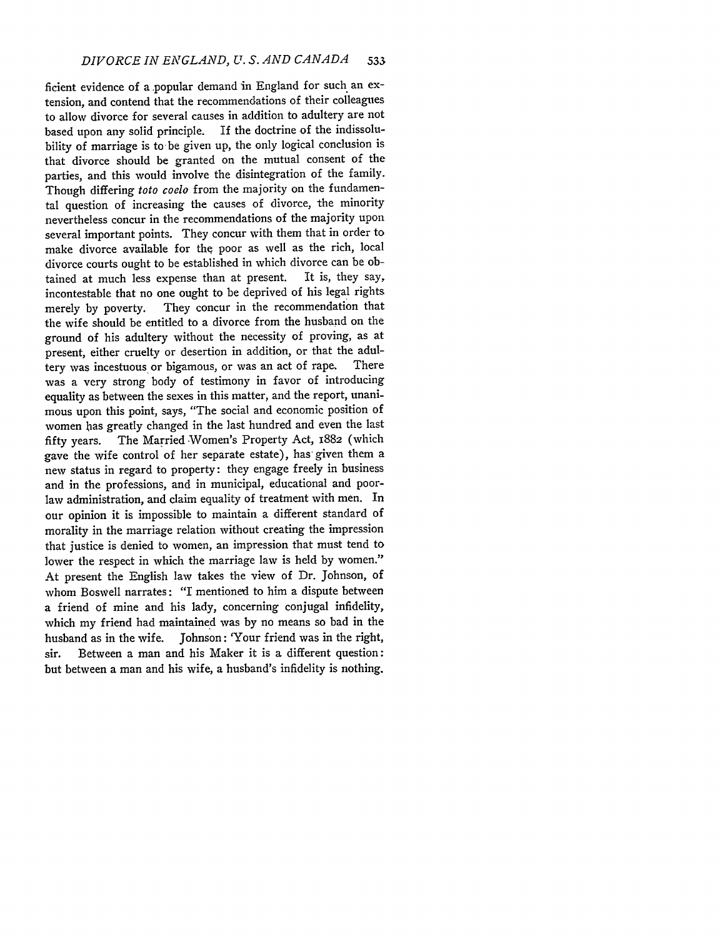ficient evidence of a .popular demand in England for such an extension, and contend that the recommendations of their colleagues to allow divorce for several causes in addition to adultery are not based upon any solid principle. If the doctrine of the indissolubility of marriage is to be given up, the only logical conclusion is that divorce should be granted on the mutual consent of the parties, and this would involve the disintegration of the family. Though differing *toto coelo* from the majority on the fundamental question of increasing the causes of divorce, the minority nevertheless concur in the recommendations of the majority upon several important points. They concur with them that in order to make divorce available for the poor as well as the rich, local divorce courts ought to be established in which divorce can be ob-<br>tained at much less expense than at present. It is, they say, tained at much less expense than at present. incontestable that no one ought to be deprived of his legal rights They concur in the recommendation that the wife should be entitled to a divorce from the husband on the ground of his adultery without the necessity of proving, as at present, either cruelty or desertion in addition, or that the adul-<br>tery was incestuous or higamous, or was an act of rape. There tery was incestuous or bigamous, or was an act of rape. was a very strong body of testimony in favor of introducing equality as between the sexes in this matter, and the report, unanimous upon this point, says, "The social and economic position of women has greatly changed in the last hundred and even the last fifty years. The Married Women's Property Act, 1882 (which gave the wife control of her separate estate), has given them a new status in regard to property: they engage freely in business and in the professions, and in municipal, educational and poorlaw administration, and claim equality of treatment with men. In our opinion it is impossible to maintain a different standard of morality in the marriage relation without creating the impression that justice is denied to women, an impression that must tend to lower the respect in which the marriage law is held by women." At present the English law takes the view of Dr. Johnson, of whom Boswell narrates: "I mentioned to him a dispute between a friend of mine and his lady, concerning conjugal infidelity, which my friend had maintained was by no means so bad in the husband as in the wife. Johnson: 'Your friend was in the right, sir. Between a man and his Maker it is a different question: but between a man and his wife, a husband's infidelity is nothing.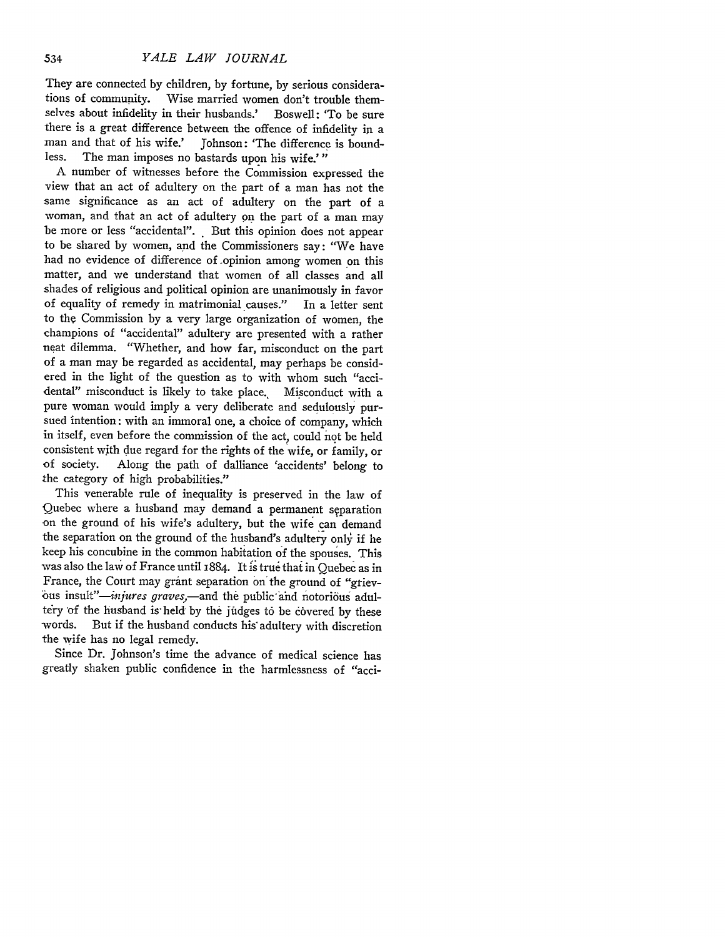They are connected by children, by fortune, by serious considerations of community. Wise married women don't trouble themselves about infidelity in their husbands.' Boswell: 'To be sure there is a great difference between the offence of infidelity in a man and that of his wife.' Johnson: 'The difference is bound-<br>less. The man imposes no bastards upon his wife'" The man imposes no bastards upon his wife.'"

A number of witnesses before the Commission expressed the view that an act of adultery on the part of a man has not the same significance as an act of adultery on the part of a woman, and that an act of adultery on the part of a man may be more or less "accidental". But this opinion does not appear to be shared by women, and the Commissioners say: "We have had no evidence of difference of opinion among women on this matter, and we understand that women of all classes and all shades of religious and political opinion are unanimously in favor of equality of remedy in matrimonial causes." In a letter sent to the Commission by a very large organization of women, the champions of "accidental" adultery are presented with a rather -neat dilemma. "Whether, and how far, misconduct on the part of a man may be regarded as accidental, may perhaps be considered in the light of the question as to with whom such "accidental" misconduct is likely to take place. Misconduct with a pure woman would imply a very deliberate and sedulously pursued intention: with an immoral one, a choice of company, which in itself, even before the commission of the act, could not be held consistent with due regard for the rights of the wife, or family, or of society. Along the path of dalliance 'accidents' belong to the category of high probabilities."

This venerable rule of inequality is preserved in the law of Quebec where a husband may demand a permanent separation on the ground of his wife's adultery, but the wife can demand the separation on the ground of the husband's adultery only if he keep his concubine in the common habitation of the spouses. This was also the law of France until 1884. It is true that in Quebec as in France, the Court may grant separation on the ground of "grievous insult"-injures graves,-and the public and notorious adultery of the husband is held by the judges to be covered by these -words. But if the husband conducts his" adultery with discretion the wife has no legal remedy.

Since Dr. Johnson's time the advance of medical science has greatly shaken public confidence in the harmlessness of "acci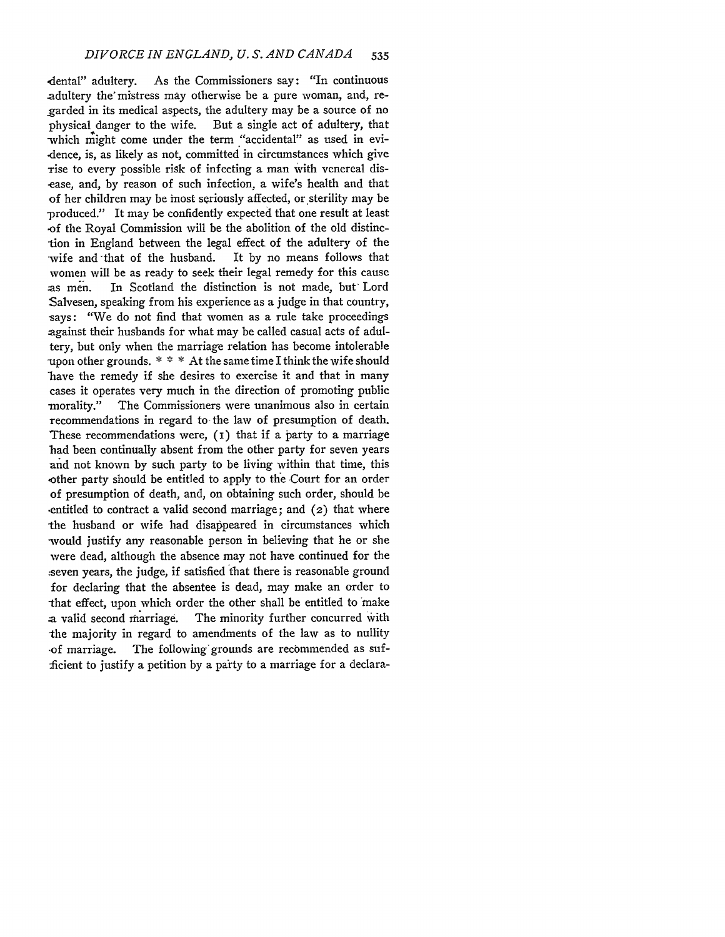dental" adultery. As the Commissioners say: "In continuous adultery the' mistress may otherwise be a pure woman, and, regarded in its medical aspects, the adultery may be a source of no physical danger to the wife. But a single act of adultery, that which might come under the term "accidental" as used in evi-.dence, is, as likely as not, committed in circumstances which give rise to every possible risk of infecting a man With venereal dis- -ease, and, by reason of such infection, a wife's health and that of her children may be most seriously affected, or sterility may be -produced." It may be confidently expected that one result at least -of the Royal Commission will be the abolition of the old distinction in England between the legal effect of the adultery of the wife and that of the husband. It by no means follows that women will be as ready to seek their legal remedy for this cause :as men. In Scotland the distinction is not made, but Lord Salvesen, speaking from his experience as a judge in that country, says: "We do not find that women as a rule take proceedings :against their husbands for what may be called casual acts of adultery, but only when the marriage relation has become intolerable -upon other grounds. **\* \* \*** At the same time I think the wife should have the remedy if she desires to exercise it and that in many cases it operates very much in the direction of promoting public -morality." The Commissioners were unanimous also in certain recommendations in regard to the law of presumption of death. These recommendations were,  $(i)$  that if a party to a marriage had been continually absent from the other party for seven years and not known by such party to be living within that time, this -other party should be entitled to apply to the Court for an order of presumption of death, and, on obtaining such order, should be -entitled to contract a valid second marriage; and (2) that where the husband or wife had disappeared in circumstances which -would justify any reasonable person in believing that he or she were dead, although the absence may not have continued for the :seven years, the judge, if satisfied that there is reasonable ground for declaring that the absentee is dead, may make an order to -that effect, upon which order the other shall be entitled to make a valid second marriage. The minority further concurred with the majority in regard to amendments of the law as to nullity -of marriage. The following'grounds are recommended as suf ficient to justify a petition by a party to a marriage for a declara-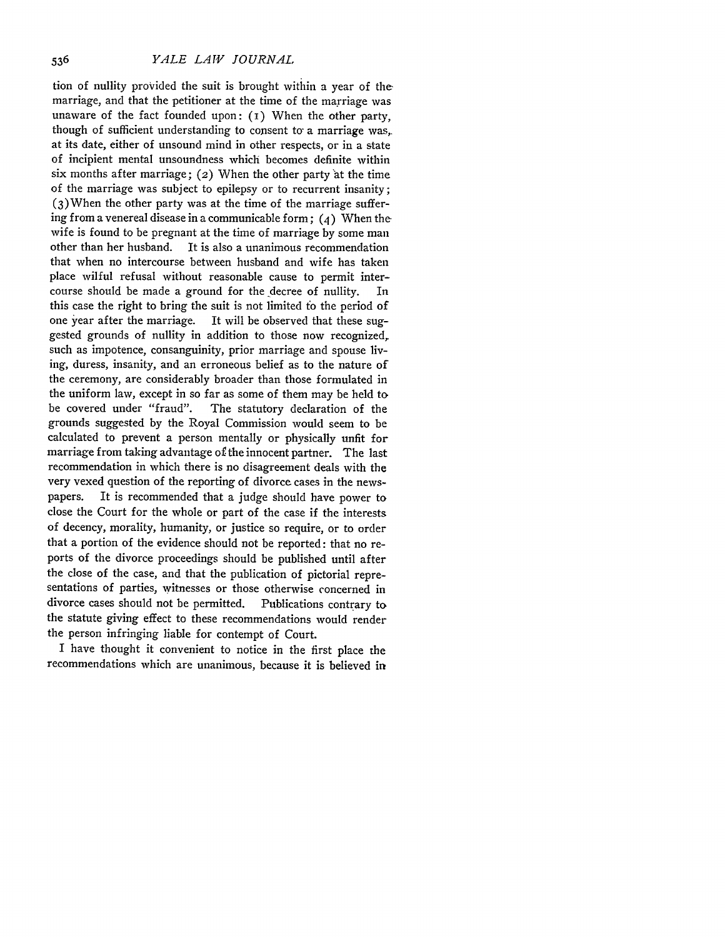tion of nullity provided the suit is brought within a year of the marriage, and that the petitioner at the time of the marriage was unaware of the fact founded upon: (i) When the other party, though of sufficient understanding to consent to a marriage was, at its date, either of unsound mind in other respects, or in a state of incipient mental unsoundness which becomes definite within six months after marriage;  $(2)$  When the other party at the time of the marriage was subject to epilepsy or to recurrent insanity; (3)When the other party was at the time of the marriage suffering from a venereal disease in a communicable form; (4) When the wife is found to be pregnant at the time of marriage **by** some **man** other than her husband. It is also a unanimous recommendation that when no intercourse between husband and wife has taken place wilful refusal without reasonable cause to permit intercourse should be made a ground for the decree of nullity. In this case the right to bring the suit is not limited to the period of one year after the marriage. It will be observed that these suggested grounds of nullity in addition to those now recognized, such as impotence, consanguinity, prior marriage and spouse living, duress, insanity, and an erroneous belief as to the nature of the ceremony, are considerably broader than those formulated in the uniform law, except in so far as some of them may be held to be covered under "fraud". The statutory declaration of the grounds suggested **by** the Royal Commission would seem to be calculated to prevent a person mentally or physically unfit for marriage from taking advantage of the innocent partner. The last recommendation in which there is no disagreement deals with the very vexed question of the reporting of divorce cases in the newspapers. It is recommended that a judge should have power to close the Court for the whole or part of the case if the interests of decency, morality, humanity, or justice so require, or to order that a portion of the evidence should not be reported: that no reports of the divorce proceedings should be published until after the close of the case, and that the publication of pictorial representations of parties, witnesses or those otherwise concerned in divorce cases should not be permitted. Publications contrary to the statute giving effect to these recommendations would render the person infringing liable for contempt of Court.

I have thought it convenient to notice in the first place the recommendations which are unanimous, because it is believed in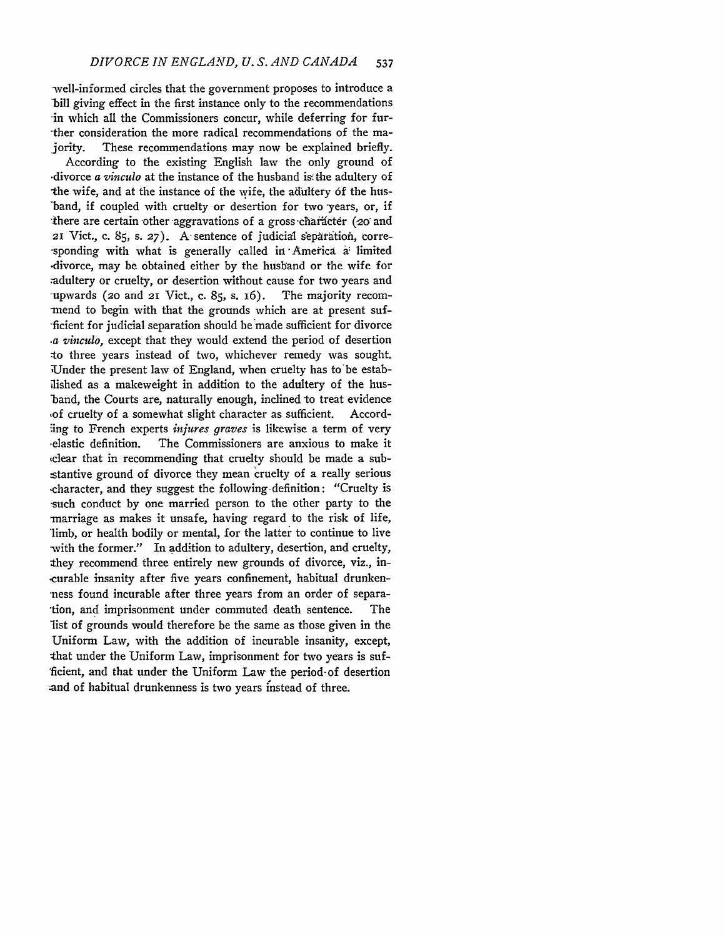-well-informed circles that the government proposes to introduce a 'bill giving effect in the first instance only to the recommendations in which all the Commissioners concur, while deferring for further consideration the more radical recommendations of the majority. These recommendations may now be explained briefly.

According to the existing English law the only ground of -divorce *a vinculo* at the instance of the husband is- the adultery of the wife, and at the instance of the wife, the adultery of the husband, if coupled with cruelty or desertion for two years, or, if there are certain other aggravations of a gross character (20 and 21 Vict., c. 85, s. 27). A sentence of judicial separation, corre--sponding with what is generally called in "America **a:** limited -divorce, may be obtained either by the husband or the wife for •-adultery or cruelty, or desertion without cause for two years and -upwards **(20** and **21** Vict., c. 85, s. 16). The majority recom- -mend to begin with that the grounds which are at present suf ficient for judicial separation should be made sufficient for divorce *-a vinculo,* except that they would extend the period of desertion to three years instead of two, whichever remedy was sought. ,Under the present law of England, when cruelty has to'be established as a makeweight in addition to the adultery of the hus- 'band, the Courts are, naturally enough, inclined to treat evidence *,of* cruelty of a somewhat slight character as sufficient. According to French experts *injures graves* is likewise a term of very ,elastic definition. The Commissioners are anxious to make it ,clear that in recommending that cruelty should be made a sub- :stantive ground of divorce they mean cruelty of a really serious -character, and they suggest the following definition: "Cruelty is 'such conduct by one married person to the other party to the -marriage as makes it unsafe, having regard to the risk of life, 'limb, or health bodily or mental, for the latter to continue to live with the former." In addition to adultery, desertion, and cruelty, they recommend three entirely new grounds of divorce, viz., in- 'curable insanity after five years confinement, habitual drunken- -ness found incurable after three years from an order of separation, and imprisonment under commuted death sentence. list of grounds would therefore be the same as those given in the Uniform Law, with the addition of incurable insanity, except, -that under the Uniform Law, imprisonment for two years is suf- 'ficient, and that under the Uniform Law the period-of desertion and of habitual drunkenness is two years instead of three.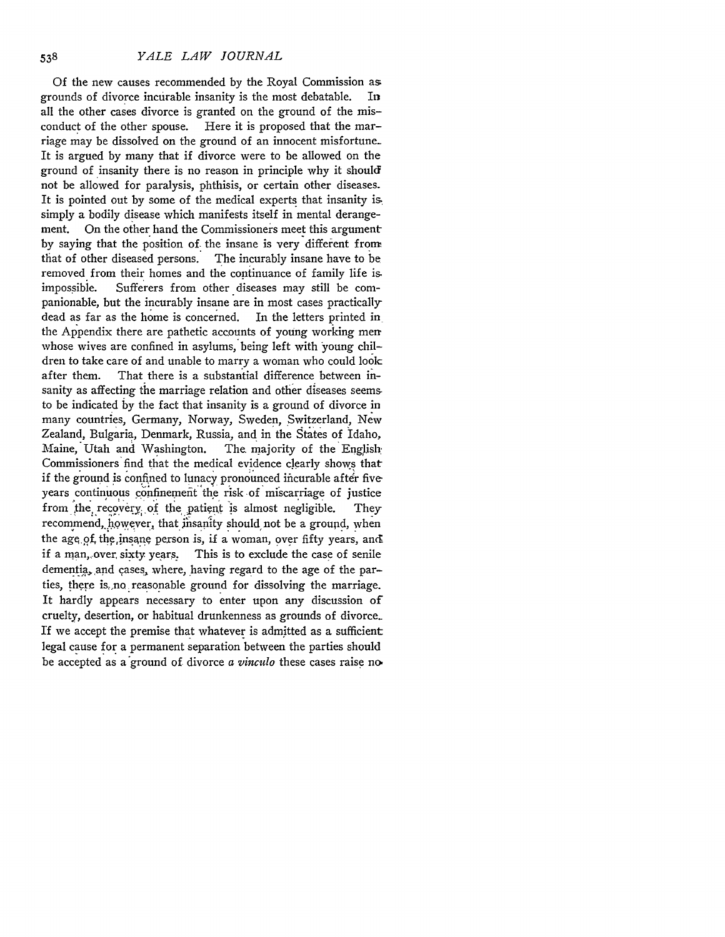Of the new causes recommended by the Royal Commission as grounds of divorce incurable insanity is the most debatable. In all the other cases divorce is granted on the ground of the misconduct of the other spouse. Here it is proposed that the marriage may be dissolved on the ground of an innocent misfortune-It is argued by many that if divorce were to be allowed on the ground of insanity there is no reason in principle why it should not be allowed for paralysis, phthisis, or certain other diseases. It is pointed out by some of the medical experts that insanity is simply a bodily disease which manifests itself in mental derangement. On the other hand the Commissioners meet this argument by saying that the position of. the insane is very different fromr that of other diseased persons. The incurably insane have to be removed from their homes and the continuance of family life is impossible. Sufferers from other diseases may still be companionable, but the incurably insane are in most cases practically dead as far as the home is concerned. In the letters printed in the Appendix there are pathetic accounts of young working merr whose wives are confined in asylums, being left with young children to take care of and unable to marry a woman who could look after them. That there is a substantial difference between insanity as affecting the marriage relation and other diseases seemsto be indicated by the fact that insanity is a ground of divorce in many countries, Germany, Norway, Sweden, Switzerland, New Zealand, Bulgaria, Denmark, Russia, and in the States of Idaho, Maine, Utah and Washington. The majority of the English Commissioners find that the medical evidence clearly shows that if the ground is confined to lunacy pronounced incurable after fiveyears continuous confinement the risk of miscarriage of justice from the recovery of the patient is almost negligible. They recommend, however, that insanity should not be a ground, when the age of the insane person is, if a woman, over fifty years, and if a man,,over, sixty years. This is to exclude the case of senile dementia, and cases, where, having regard to the age of the parties, there is.,no reasonable ground for dissolving the marriage. It hardly appears necessary to enter upon any discussion of cruelty, desertion, or habitual drunkenness as grounds of divorce. If we accept the premise that whatever is admitted as a sufficient legal cause for a permanent separation between the parties should be accepted as a'ground of divorce *a vinculo* these cases raise *no.*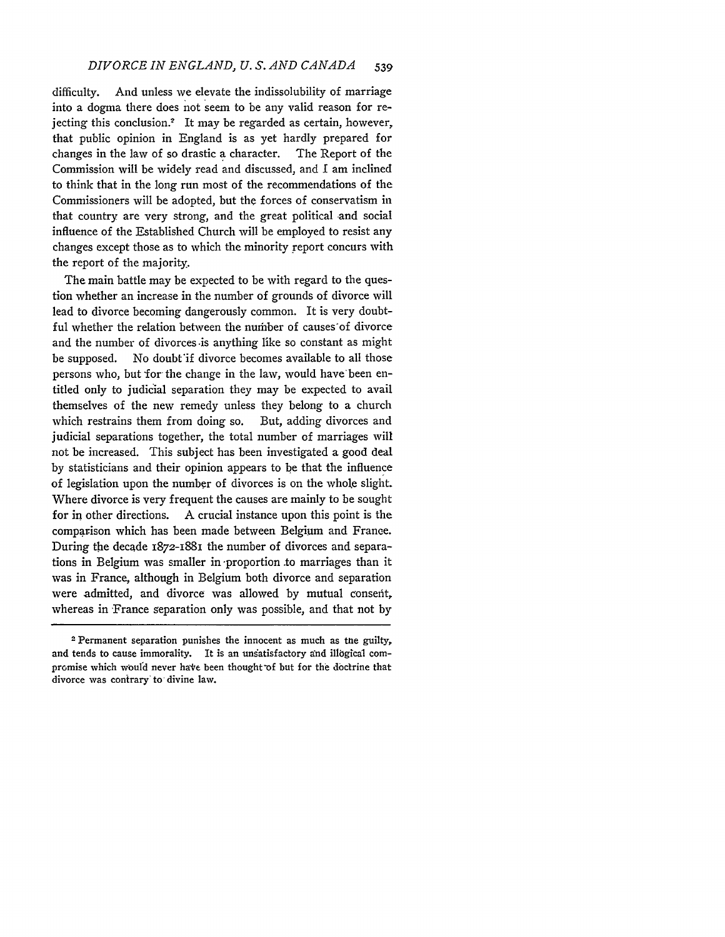difficulty. And unless we elevate the indissolubility of marriage into a dogma there does not seem to be any valid reason for rejecting this conclusion.<sup>2</sup> It may be regarded as certain, however, that public opinion in England is as yet hardly prepared for changes in the law of so drastic a character. The Report of the Commission will be widely read and discussed, and I am inclined to think that in the long run most of the recommendations of the Commissioners will be adopted, but the forces of conservatism in that country are very strong, and the great political and social influence of the Established Church will be employed to resist any changes except those as to which the minority report concurs with the report of the majority..

The main battle may be expected to be with regard to the question whether an increase in the number of grounds of divorce will lead to divorce becoming dangerously common. It is very doubtful whether the relation between the number of causes of divorce and the number of divorces is anything like so constant as might be supposed. No doubt'if divorce becomes available to all those persons who, but for the change in the law, would have been entitled only to judicial separation they may be expected to avail themselves of the new remedy unless they belong to a church which restrains them from doing so. But, adding divorces and judicial separations together, the total number of marriages will not be increased. This subject has been investigated a good deal by statisticians and their opinion appears to be that the influence of legislation upon the number of divorces is on the whole slight. Where divorce is very frequent the causes are mainly to be sought for in other directions. A crucial instance upon this point is the comparison which has been made between Belgium and France. During the decade 1872-1881 the number of divorces and separations in Belgium was smaller in -proportion .to marriages than it was in France, although in Belgium both divorce and separation were admitted, and divorce was allowed by mutual conseit, whereas in France separation only was possible, and that not by

**<sup>2</sup>** Permanent separation punishes the innocent as much as the guilty, and tends to cause immorality. It is an unsatisfactory and illogical compromise which would never have been thought of but for the doctrine that divorce was contrary to divine law.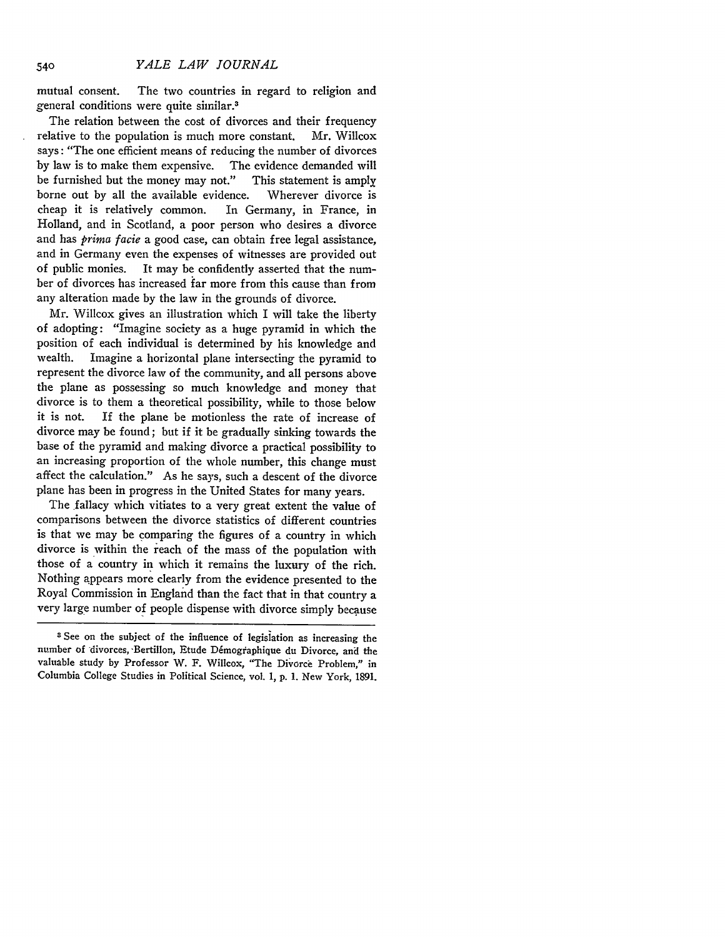mutual consent. The two countries in regard to religion and general conditions were quite similar.3

The relation between the cost of divorces and their frequency relative to the population is much more constant. Mr. Willcox says: "The one efficient means of reducing the number of divorces by law is to make them expensive. The evidence demanded will be furnished but the money may not." This statement is amply borne out by all the available evidence. Wherever divorce is cheap it is relatively common. In Germany, in France, in Holland, and in Scotland, a poor person who desires a divorce and has *prima facie* a good case, can obtain free legal assistance, and in Germany even the expenses of witnesses are provided out of public monies. It may be confidently asserted that the number of divorces has increased far more from this cause than from any alteration made by the law in the grounds of divorce.

Mr. Willcox gives an illustration which I will take the liberty of adopting: "Imagine society as a huge pyramid in which the position of each individual is determined by his knowledge and wealth. Imagine a horizontal plane intersecting the pyramid to represent the divorce law of the community, and all persons above the plane as possessing so much knowledge and money that divorce is to them a theoretical possibility, while to those below it is not. If the plane be motionless the rate of increase of divorce may be found; but if it be gradually sinking towards the base of the pyramid and making divorce a practical possibility to an increasing proportion of the whole number, this change must affect the calculation." As he says, such a descent of the divorce plane has been in progress in the United States for many years.

The fallacy which vitiates to a very great extent the value of comparisons between the divorce statistics of different countries is that we may be comparing the figures of a country in which divorce is within the reach of the mass of the population with those of a country in which it remains the luxury of the rich. Nothing appears more clearly from the evidence presented to the Royal Commission in England than the fact that in that country a very large number of people dispense with divorce simply because

<sup>3</sup> See on the subject of the influence of legislation as increasing the number of divorces, Bertillon, Etude Démographique du Divorce, and the valuable study by Professor W. F. Willcox, "The Divorce Problem," in Columbia College Studies in Political Science, vol. 1, p. 1. New York, 1891.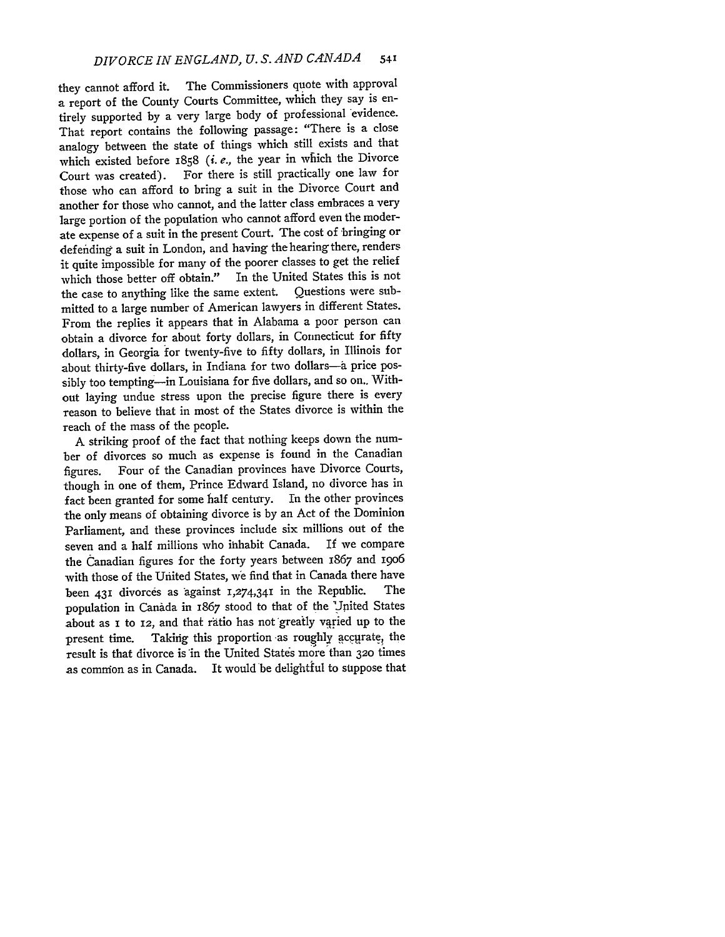they cannot afford it. The Commissioners quote with approval a report of the County Courts Committee, which they say is entirely supported by a very large body of professional 'evidence. That report contains the following passage: "There is a close analogy between the state of things which still exists and that which existed before 1858 (*i. e.*, the year in which the Divorce Court was created). For there is still practically one law for those who can afford to bring a suit in the Divorce Court and another for those who cannot, and the latter class embraces a very large portion of the population who cannot afford even the moderate expense of a suit in the present Court. The cost of bringing or defending a suit in London, and having the hearing there, renders it quite impossible for many of the poorer classes to get the relief<br>which those better off obtain." In the United States this is not which those better off obtain." In the United States this is not<br>the case to anything like the same extent. Ouestions were subthe case to anything like the same extent. mitted to a large number of American lawyers in different States. From the replies it appears that in Alabama a poor person can obtain a divorce for about forty dollars, in Connecticut for fifty dollars, in Georgia for twenty-five to fifty dollars, in Illinois for about thirty-five dollars, in Indiana for two dollars-a price possibly too tempting-in Louisiana for five dollars, and so on.. Without laying undue stress upon the precise figure there is every reason to believe that in most of the States divorce is within the reach of the mass of the people.

A striking proof of the fact that nothing keeps down the number of divorces so much as expense is found in the Canadian figures. Four of the Canadian provinces have Divorce Courts, though in one of them, Prince Edward Island, no divorce has in fact been granted for some half century. In the other provinces the only means of obtaining divorce is by an Act of the Dominion Parliament, and these provinces include six millions out of the seven and a half millions who inhabit Canada. If we compare seven and a half millions who inhabit Canada. the Canadian figures for the forty years between 1867 and 19o6 with those of the United States, we find that in Canada there have been  $431$  divorces as against  $1,274,341$  in the Republic. population in Canada in 1867 stood to that of the United States about as *I* to 12, and that ratio has not greatly varied up to the present time. Taking this proportion as roughly accurate, the result is that divorce is 'in the United States more than **320** times as comnion as in Canada. It would be delightful to suppose that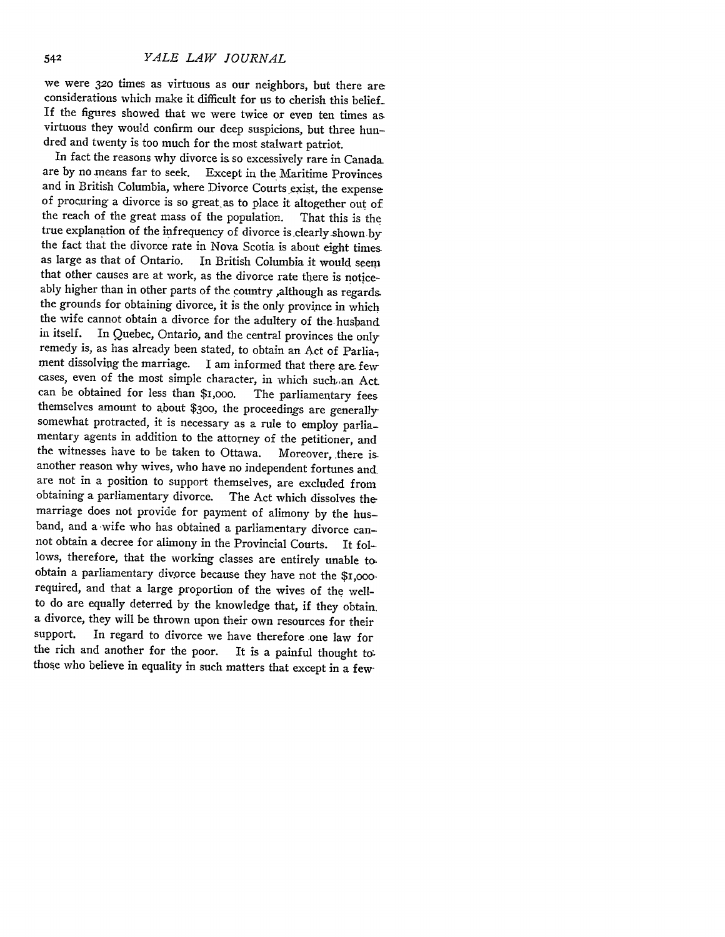we were **320** times as virtuous as our neighbors, but there are considerations which make it difficult for us to cherish this belief-If the figures showed that we were twice or even ten times asvirtuous they would confirm our deep suspicions, but three hundred and twenty is too much for the most stalwart patriot.

In fact the reasons why divorce is so excessively rare in Canada. are by no means far to seek. Except in the Maritime Provinces and in British Columbia, where Divorce Courts exist, the expense of procuring a divorce is so great as to place it altogether out of the reach of the great mass of the population. That this is the true explanation of the infrequency of divorce is clearly.shown by the fact that the divorce rate in Nova Scotia is about eight times as large as that of Ontario. In British Columbia it would seem that other causes are at work, as the divorce rate there is noticeably higher than in other parts of the country ,although as regards. the grounds for obtaining divorce, it is the only province in which the wife cannot obtain a divorce for the adultery of the husband<br>in itself. In Quebec, Ontario, and the central provinces the only remedy is, as has already been stated, to obtain an Act of Parliament dissolving the marriage. I am informed that there are fewcases, even of the most simple character, in which such-an Act can be obtained for less than **\$i,ooo.** The parliamentary fees themselves amount to about \$3oo, the proceedings are generallysomewhat protracted, it is necessary as a rule to employ parliamentary agents in addition to the attorney of the petitioner, and the witnesses have to be taken to Ottawa. Moreover, there is another reason why wives, who have no independent fortunes and are not in a position to support themselves, are excluded from obtaining a parliamentary divorce. The Act which dissolves the marriage does not provide for payment of alimony by the husband, and a-wife who has obtained a parliamentary divorce cannot obtain a decree for alimony in the Provincial Courts. It follows, therefore, that the working classes are entirely unable to obtain a parliamentary divorce because they have not the  $$1,000$ . required, and that a large proportion of the wives of the wellto do are equally deterred by the knowledge that, if they obtain. a divorce, they will be thrown upon their own resources for their support. In regard to divorce we have therefore one law for the rich and another for the poor. It is a painful thought to: those who believe in equality in such matters that except in a few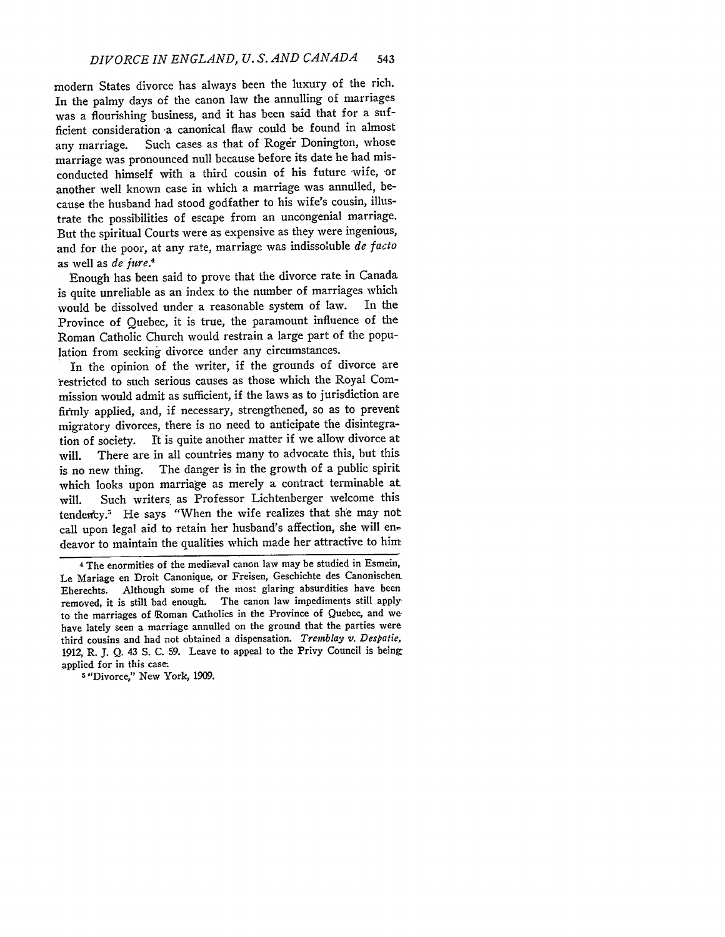modern States divorce has always been the luxury of the rich. In the palmy days of the canon law the annulling of marriages was a flourishing business, and it has been said that for a sufficient consideration -a canonical flaw could be found in almost any marriage. Such cases as that of Roger Donington, whose marriage was pronounced null because before its date he had misconducted himself with a third cousin of his future wife, or another well known case in which a marriage was annulled, because the husband had stood godfather to his wife's cousin, illustrate the possibilities of escape from an uncongenial marriage. But the spiritual Courts were as expensive as they were ingenious, and for the poor, at any rate, marriage was indissoluble *de* facto as well as *de jure.4*

Enough has been said to prove that the divorce rate in Canada is quite unreliable as an index to the number of marriages which<br>would be dissolved under a reasonable system of law. In the would be dissolved under a reasonable system of law. Province of Quebec, it is true, the paramount influence of the Roman Catholic Church would restrain a large part of the population from seeking divorce under any circumstances.

In the opinion of the writer, if the grounds of divorce are testricted to such serious causes as those which the Royal Commission would admit as sufficient, if the laws as to jurisdiction are firmly applied, and, if necessary, strengthened, so as to prevent migratory divorces, there is no need to anticipate the disintegration of society. It is quite another matter if we allow divorce at will. There are in all countries many to advocate this, but this is no new thing. The danger is in the growth of a public spirit which looks upon marriage as merely a contract terminable at will. Such writers as Professor Lichtenberger welcome this tender's.<sup>5</sup> He says "When the wife realizes that she may not call upon legal aid to retain her husband's affection, she will endeavor to maintain the qualities which made her attractive to hin:

<sup>&</sup>lt;sup>4</sup> The enormities of the mediæval canon law may be studied in Esmein, Le Mariage en Droit Canonique, or Freisen, Geschichte des Canonischen Eherechts. Although some of the most glaring absurdities have been removed, it is still bad enough. The canon law impediments still applyto the marriages of Roman Catholics in the Province of Quebec, and we have lately seen a marriage annulled on the ground that the parties were third cousins and had not obtained a dispensation. *Tremblay v. Despatie,* 1912, R. **J.** Q. 43 S. C. 59. Leave to appeal to the Privy Council is being: applied for in this case.

**<sup>5</sup>** "Divorce," New York, 1909.